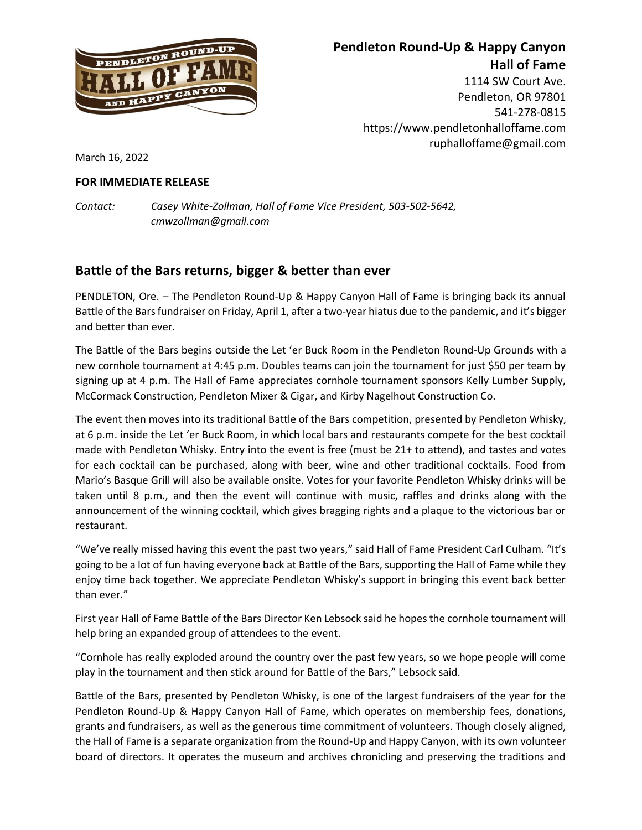

## **Pendleton Round-Up & Happy Canyon Hall of Fame**

1114 SW Court Ave. Pendleton, OR 97801 541-278-0815 https://www.pendletonhalloffame.com ruphalloffame@gmail.com

March 16, 2022

## **FOR IMMEDIATE RELEASE**

*Contact: Casey White-Zollman, Hall of Fame Vice President, 503-502-5642, cmwzollman@gmail.com*

## **Battle of the Bars returns, bigger & better than ever**

PENDLETON, Ore. – The Pendleton Round-Up & Happy Canyon Hall of Fame is bringing back its annual Battle of the Bars fundraiser on Friday, April 1, after a two-year hiatus due to the pandemic, and it's bigger and better than ever.

The Battle of the Bars begins outside the Let 'er Buck Room in the Pendleton Round-Up Grounds with a new cornhole tournament at 4:45 p.m. Doubles teams can join the tournament for just \$50 per team by signing up at 4 p.m. The Hall of Fame appreciates cornhole tournament sponsors Kelly Lumber Supply, McCormack Construction, Pendleton Mixer & Cigar, and Kirby Nagelhout Construction Co.

The event then moves into its traditional Battle of the Bars competition, presented by Pendleton Whisky, at 6 p.m. inside the Let 'er Buck Room, in which local bars and restaurants compete for the best cocktail made with Pendleton Whisky. Entry into the event is free (must be 21+ to attend), and tastes and votes for each cocktail can be purchased, along with beer, wine and other traditional cocktails. Food from Mario's Basque Grill will also be available onsite. Votes for your favorite Pendleton Whisky drinks will be taken until 8 p.m., and then the event will continue with music, raffles and drinks along with the announcement of the winning cocktail, which gives bragging rights and a plaque to the victorious bar or restaurant.

"We've really missed having this event the past two years," said Hall of Fame President Carl Culham. "It's going to be a lot of fun having everyone back at Battle of the Bars, supporting the Hall of Fame while they enjoy time back together. We appreciate Pendleton Whisky's support in bringing this event back better than ever."

First year Hall of Fame Battle of the Bars Director Ken Lebsock said he hopes the cornhole tournament will help bring an expanded group of attendees to the event.

"Cornhole has really exploded around the country over the past few years, so we hope people will come play in the tournament and then stick around for Battle of the Bars," Lebsock said.

Battle of the Bars, presented by Pendleton Whisky, is one of the largest fundraisers of the year for the Pendleton Round-Up & Happy Canyon Hall of Fame, which operates on membership fees, donations, grants and fundraisers, as well as the generous time commitment of volunteers. Though closely aligned, the Hall of Fame is a separate organization from the Round-Up and Happy Canyon, with its own volunteer board of directors. It operates the museum and archives chronicling and preserving the traditions and